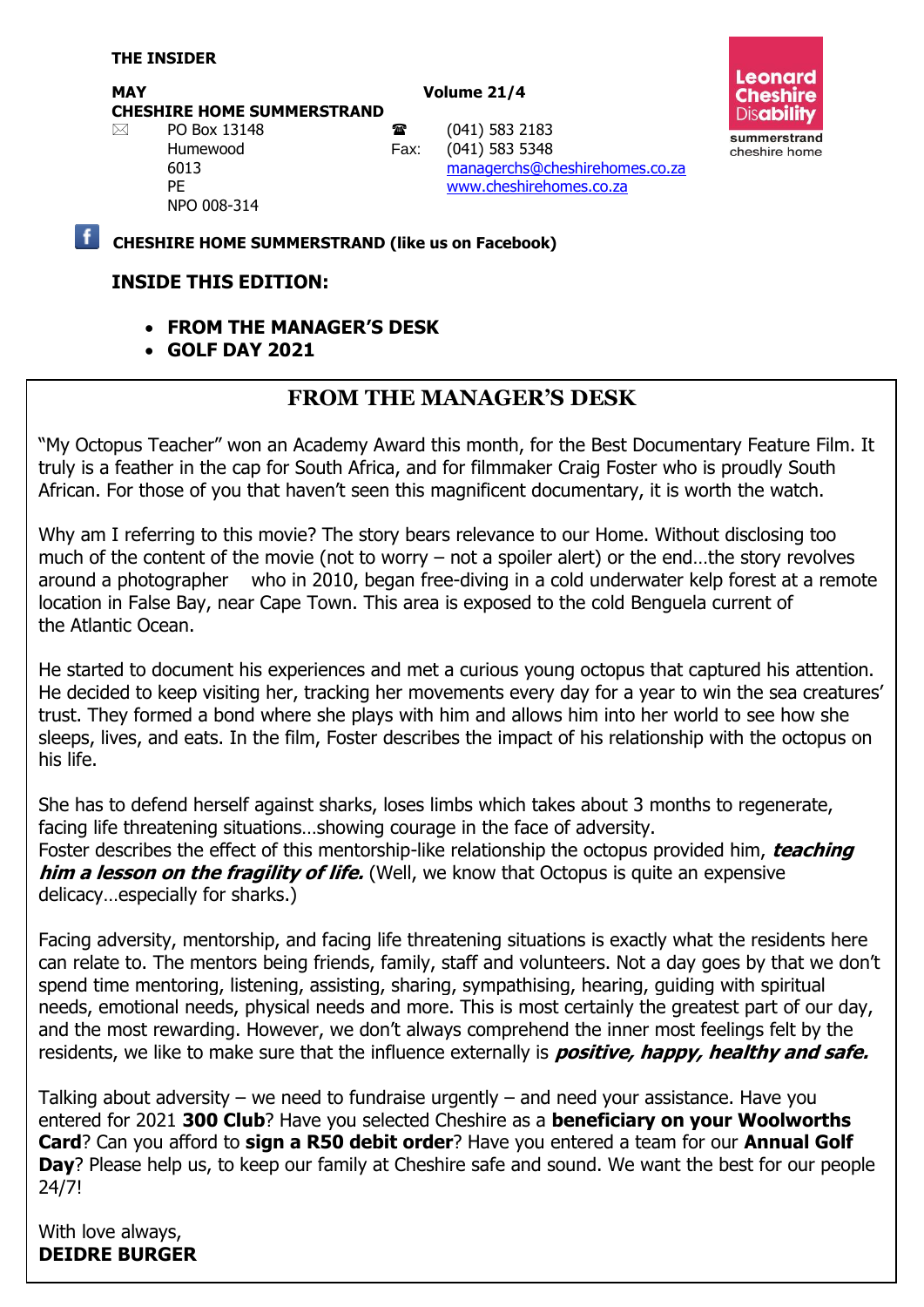#### MAY Volume 21/4

**CHESHIRE HOME SUMMERSTRAND**

**Leonard Cheshire Disability** summerstrand cheshire home

NPO 008-314

 $\boxtimes$  PO Box 13148 **a** (041) 583 2183 Humewood Fax: (041) 583 5348 6013 [managerchs@cheshirehomes.co.za](mailto:managerchs@cheshirehomes.co.za) PE [www.cheshirehomes.co.za](http://www.cheshirehomes.co.za/)

**CHESHIRE HOME SUMMERSTRAND (like us on Facebook)**

### **INSIDE THIS EDITION:**

- **FROM THE MANAGER'S DESK**
- **GOLF DAY 2021**

# **FROM THE MANAGER'S DESK**

"My Octopus Teacher" won an Academy Award this month, for the Best Documentary Feature Film. It truly is a feather in the cap for South Africa, and for filmmaker Craig Foster who is proudly South African. For those of you that haven't seen this magnificent documentary, it is worth the watch.

Why am I referring to this movie? The story bears relevance to our Home. Without disclosing too much of the content of the movie (not to worry – not a spoiler alert) or the end…the story revolves around a photographer who in 2010, began [free-diving](https://en.wikipedia.org/wiki/Freediving) in a cold underwater kelp forest at a remote location in [False Bay,](https://en.wikipedia.org/wiki/False_Bay) near [Cape Town.](https://en.wikipedia.org/wiki/Cape_Town) This area is exposed to the cold [Benguela current](https://en.wikipedia.org/wiki/Benguela_current) of the [Atlantic Ocean.](https://en.wikipedia.org/wiki/Atlantic_Ocean)

He started to document his experiences and met a curious young octopus that captured his attention. He decided to keep visiting her, tracking her movements every day for a year to win the sea creatures' trust. They formed a bond where she plays with him and allows him into her world to see how she sleeps, lives, and eats. In the film, Foster describes the impact of his relationship with the octopus on his life.

She has to defend herself against sharks, loses limbs which takes about 3 months to regenerate, facing life threatening situations…showing courage in the face of adversity. Foster describes the effect of this mentorship-like relationship the octopus provided him, **teaching him a lesson on the fragility of life.** (Well, we know that Octopus is quite an expensive delicacy…especially for sharks.)

Facing adversity, mentorship, and facing life threatening situations is exactly what the residents here can relate to. The mentors being friends, family, staff and volunteers. Not a day goes by that we don't spend time mentoring, listening, assisting, sharing, sympathising, hearing, guiding with spiritual needs, emotional needs, physical needs and more. This is most certainly the greatest part of our day, and the most rewarding. However, we don't always comprehend the inner most feelings felt by the residents, we like to make sure that the influence externally is **positive, happy, healthy and safe.**

Talking about adversity – we need to fundraise urgently – and need your assistance. Have you entered for 2021 **300 Club**? Have you selected Cheshire as a **beneficiary on your Woolworths Card**? Can you afford to **sign a R50 debit order**? Have you entered a team for our **Annual Golf Day**? Please help us, to keep our family at Cheshire safe and sound. We want the best for our people 24/7!

With love always, **DEIDRE BURGER**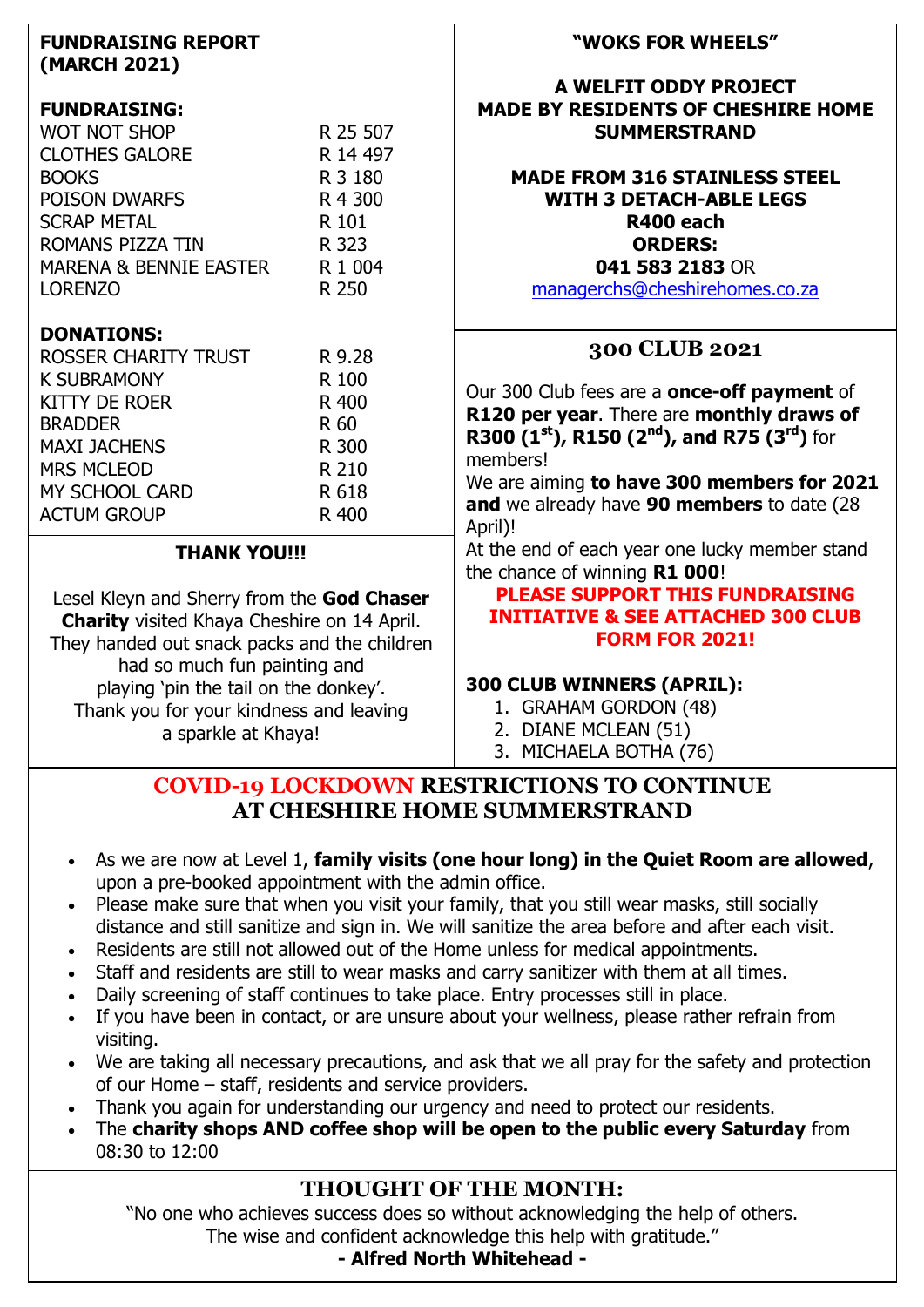| <b>FUNDRAISING REPORT</b><br>(MARCH 2021)                                    |          | "WOKS FOR WHEELS"                                                                              |
|------------------------------------------------------------------------------|----------|------------------------------------------------------------------------------------------------|
| <b>FUNDRAISING:</b>                                                          |          | A WELFIT ODDY PROJECT<br><b>MADE BY RESIDENTS OF CHESHIRE HOME</b>                             |
| WOT NOT SHOP                                                                 | R 25 507 | <b>SUMMERSTRAND</b>                                                                            |
| <b>CLOTHES GALORE</b>                                                        | R 14 497 |                                                                                                |
| <b>BOOKS</b>                                                                 | R 3 180  | <b>MADE FROM 316 STAINLESS STEEL</b>                                                           |
| <b>POISON DWARFS</b>                                                         | R 4 300  | <b>WITH 3 DETACH-ABLE LEGS</b>                                                                 |
| <b>SCRAP METAL</b>                                                           | R 101    | R400 each                                                                                      |
| ROMANS PIZZA TIN                                                             | R 323    | <b>ORDERS:</b>                                                                                 |
| <b>MARENA &amp; BENNIE EASTER</b>                                            | R 1 004  | 041 583 2183 OR                                                                                |
| <b>LORENZO</b>                                                               | R 250    | managerchs@cheshirehomes.co.za                                                                 |
| <b>DONATIONS:</b>                                                            |          |                                                                                                |
| <b>ROSSER CHARITY TRUST</b>                                                  | R 9.28   | 300 CLUB 2021                                                                                  |
| <b>K SUBRAMONY</b>                                                           | R 100    |                                                                                                |
| <b>KITTY DE ROER</b>                                                         | R 400    | Our 300 Club fees are a <b>once-off payment</b> of                                             |
| <b>BRADDER</b>                                                               | R 60     | R120 per year. There are monthly draws of<br>R300 $(1st)$ , R150 $(2nd)$ , and R75 $(3rd)$ for |
| <b>MAXI JACHENS</b>                                                          | R 300    | members!                                                                                       |
| <b>MRS MCLEOD</b>                                                            | R 210    | We are aiming to have 300 members for 2021                                                     |
| MY SCHOOL CARD                                                               | R 618    | and we already have 90 members to date (28                                                     |
| <b>ACTUM GROUP</b>                                                           | R 400    | April)!                                                                                        |
| <b>THANK YOU!!!</b>                                                          |          | At the end of each year one lucky member stand<br>the chance of winning R1 000!                |
|                                                                              |          | <b>PLEASE SUPPORT THIS FUNDRAISING</b>                                                         |
| Lesel Kleyn and Sherry from the God Chaser                                   |          | <b>INITIATIVE &amp; SEE ATTACHED 300 CLUB</b>                                                  |
| <b>Charity</b> visited Khaya Cheshire on 14 April.                           |          | <b>FORM FOR 2021!</b>                                                                          |
| They handed out snack packs and the children<br>had so much fun painting and |          |                                                                                                |
| playing 'pin the tail on the donkey'.                                        |          | 300 CLUB WINNERS (APRIL):                                                                      |
| Thank you for your kindness and leaving                                      |          | 1. GRAHAM GORDON (48)                                                                          |
| a sparkle at Khaya!                                                          |          | 2. DIANE MCLEAN (51)                                                                           |
|                                                                              |          | 3. MICHAELA BOTHA (76)                                                                         |
|                                                                              |          |                                                                                                |

### **COVID-19 LOCKDOWN RESTRICTIONS TO CONTINUE AT CHESHIRE HOME SUMMERSTRAND**

- As we are now at Level 1, **family visits (one hour long) in the Quiet Room are allowed**, upon a pre-booked appointment with the admin office.
- Please make sure that when you visit your family, that you still wear masks, still socially distance and still sanitize and sign in. We will sanitize the area before and after each visit.
- Residents are still not allowed out of the Home unless for medical appointments.
- Staff and residents are still to wear masks and carry sanitizer with them at all times.
- Daily screening of staff continues to take place. Entry processes still in place.
- If you have been in contact, or are unsure about your wellness, please rather refrain from visiting.
- We are taking all necessary precautions, and ask that we all pray for the safety and protection of our Home – staff, residents and service providers.
- Thank you again for understanding our urgency and need to protect our residents.
- The **charity shops AND coffee shop will be open to the public every Saturday** from 08:30 to 12:00

# **THOUGHT OF THE MONTH:**

"No one who achieves success does so without acknowledging the help of others. The wise and confident acknowledge this help with gratitude."

**- Alfred North Whitehead -**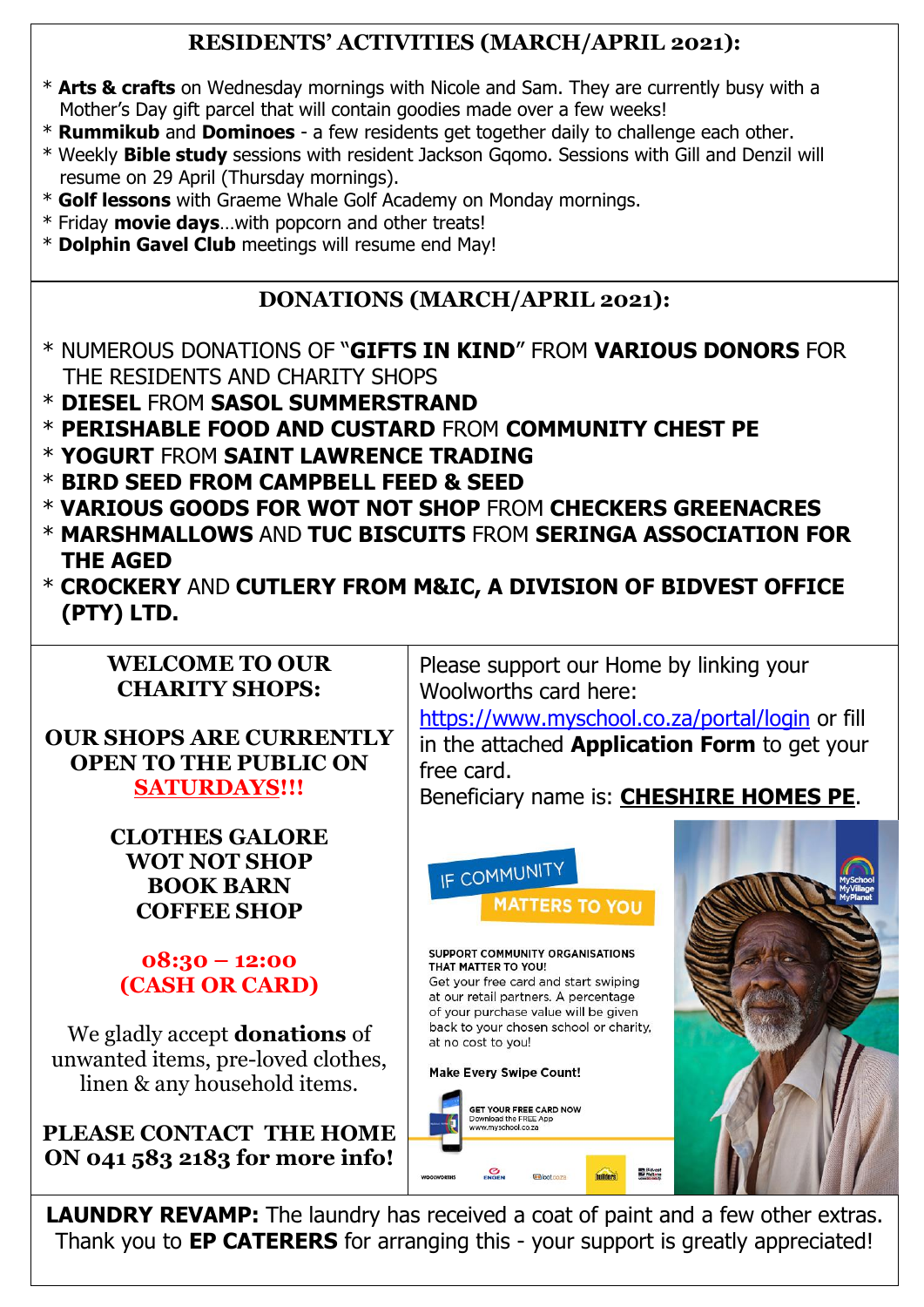# **RESIDENTS' ACTIVITIES (MARCH/APRIL 2021):**

- \* **Arts & crafts** on Wednesday mornings with Nicole and Sam. They are currently busy with a Mother's Day gift parcel that will contain goodies made over a few weeks!
- \* **Rummikub** and **Dominoes** a few residents get together daily to challenge each other.
- \* Weekly **Bible study** sessions with resident Jackson Gqomo. Sessions with Gill and Denzil will resume on 29 April (Thursday mornings).
- \* **Golf lessons** with Graeme Whale Golf Academy on Monday mornings.
- \* Friday **movie days**…with popcorn and other treats!
- \* **Dolphin Gavel Club** meetings will resume end May!

# **DONATIONS (MARCH/APRIL 2021):**

- \* NUMEROUS DONATIONS OF "**GIFTS IN KIND**" FROM **VARIOUS DONORS** FOR THE RESIDENTS AND CHARITY SHOPS
- \* **DIESEL** FROM **SASOL SUMMERSTRAND**
- \* **PERISHABLE FOOD AND CUSTARD** FROM **COMMUNITY CHEST PE**
- \* **YOGURT** FROM **SAINT LAWRENCE TRADING**
- \* **BIRD SEED FROM CAMPBELL FEED & SEED**
- \* **VARIOUS GOODS FOR WOT NOT SHOP** FROM **CHECKERS GREENACRES**
- \* **MARSHMALLOWS** AND **TUC BISCUITS** FROM **SERINGA ASSOCIATION FOR THE AGED**
- \* **CROCKERY** AND **CUTLERY FROM M&IC, A DIVISION OF BIDVEST OFFICE (PTY) LTD.**

## **WELCOME TO OUR CHARITY SHOPS:**

**OUR SHOPS ARE CURRENTLY OPEN TO THE PUBLIC ON SATURDAYS!!!**

> **CLOTHES GALORE WOT NOT SHOP BOOK BARN COFFEE SHOP**

# **08:30 – 12:00 (CASH OR CARD)**

We gladly accept **donations** of unwanted items, pre-loved clothes, linen & any household items.

**PLEASE CONTACT THE HOME ON 041 583 2183 for more info!**

Please support our Home by linking your Woolworths card here:

<https://www.myschool.co.za/portal/login> or fill in the attached **Application Form** to get your free card.

Beneficiary name is: **CHESHIRE HOMES PE**.



**LAUNDRY REVAMP:** The laundry has received a coat of paint and a few other extras. Thank you to **EP CATERERS** for arranging this - your support is greatly appreciated!